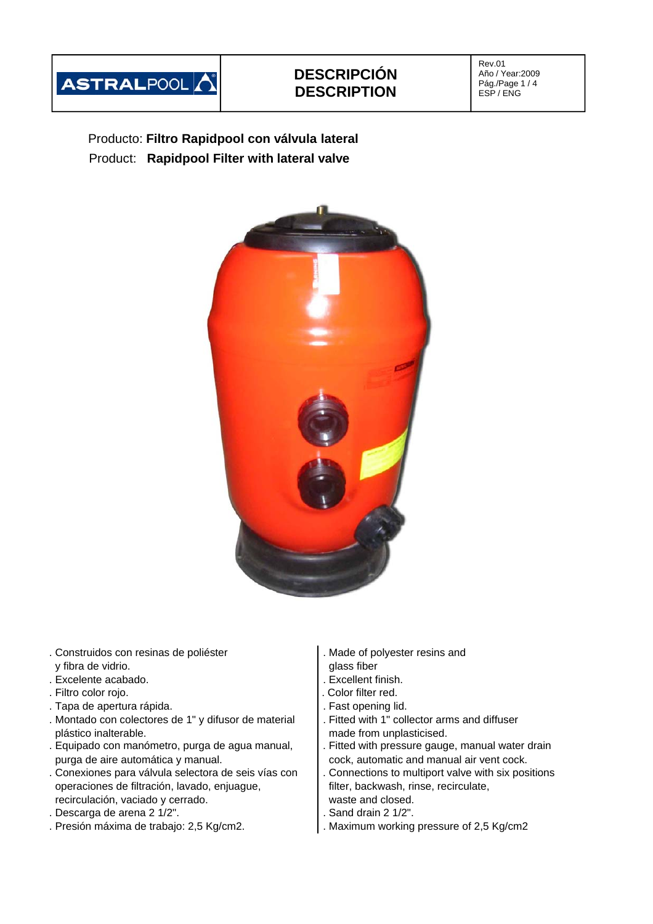

## **DESCRIPCIÓN DESCRIPTION**

Rev.01 Año / Year:2009 Pág./Page 1 / 4 ESP / ENG

Producto: **Filtro Rapidpool con válvula lateral** Product: **Rapidpool Filter with lateral valve**



- . Construidos con resinas de poliéster . Made of polyester resins and y fibra de vidrio.  $\vert$  glass fiber
- . Excelente acabado. . Excellent finish.
- . Filtro color rojo. . Color filter red.
- 
- Tapa de apertura rápida.<br>
Montado con colectores de 1" y difusor de material . Fitted with 1" collector arms and diffuser . Montado con colectores de 1" y difusor de material plástico inalterable. made from unplasticised.
- . Equipado con manómetro, purga de agua manual,  $\blacksquare$ . Fitted with pressure gauge, manual water drain purga de aire automática y manual. cock, automatic and manual air vent cock.
- . Conexiones para válvula selectora de seis vías con . Connections to multiport valve with six positions operaciones de filtración, lavado, enjuague, filter, backwash, rinse, recirculate, recirculación, vaciado y cerrado. Weblatte and closed.
- . Descarga de arena 2 1/2". . Sand drain 2 1/2".
- 
- 
- 
- 
- 
- 
- 
- 
- 
- 
- 
- . Presión máxima de trabajo: 2,5 Kg/cm2. . Maximum working pressure of 2,5 Kg/cm2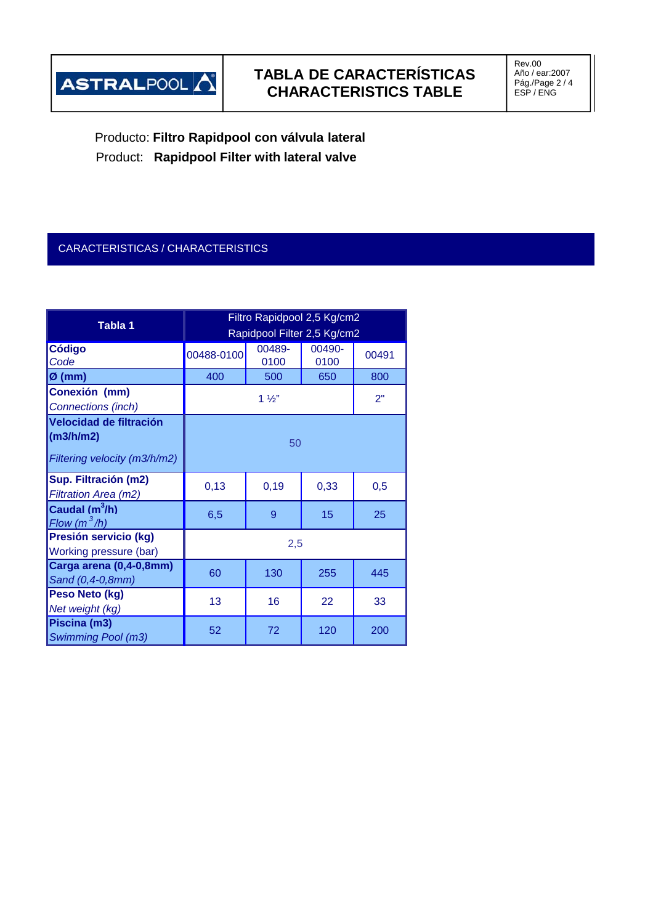

# **TABLA DE CARACTERÍSTICAS CHARACTERISTICS TABLE**

Rev.00 Año / ear:2007 Pág./Page 2 / 4 ESP / ENG

Producto: **Filtro Rapidpool con válvula lateral** Product: **Rapidpool Filter with lateral valve**

#### CARACTERISTICAS / CHARACTERISTICS

| Tabla 1                      | Filtro Rapidpool 2,5 Kg/cm2 |        |        |       |  |  |
|------------------------------|-----------------------------|--------|--------|-------|--|--|
|                              | Rapidpool Filter 2,5 Kg/cm2 |        |        |       |  |  |
| <b>Código</b>                | 00488-0100                  | 00489- | 00490- | 00491 |  |  |
| Code                         |                             | 0100   | 0100   |       |  |  |
| $\varnothing$ (mm)           | 400                         | 500    | 650    | 800   |  |  |
| Conexión (mm)                | $1\frac{1}{2}$              |        |        | 2"    |  |  |
| Connections (inch)           |                             |        |        |       |  |  |
| Velocidad de filtración      |                             |        |        |       |  |  |
| (m3/h/m2)                    | 50                          |        |        |       |  |  |
| Filtering velocity (m3/h/m2) |                             |        |        |       |  |  |
| Sup. Filtración (m2)         | 0,13                        | 0,19   | 0,33   | 0,5   |  |  |
| Filtration Area (m2)         |                             |        |        |       |  |  |
| Caudal $(m^3/h)$             | 6,5                         | 9      | 15     | 25    |  |  |
| Flow $(m^3/h)$               |                             |        |        |       |  |  |
| Presión servicio (kg)        | 2,5                         |        |        |       |  |  |
| Working pressure (bar)       |                             |        |        |       |  |  |
| Carga arena (0,4-0,8mm)      | 60                          | 130    | 255    | 445   |  |  |
| Sand (0,4-0,8mm)             |                             |        |        |       |  |  |
| Peso Neto (kg)               | 13                          | 16     | 22     | 33    |  |  |
| Net weight (kg)              |                             |        |        |       |  |  |
| Piscina (m3)                 | 52                          | 72     | 120    | 200   |  |  |
| <b>Swimming Pool (m3)</b>    |                             |        |        |       |  |  |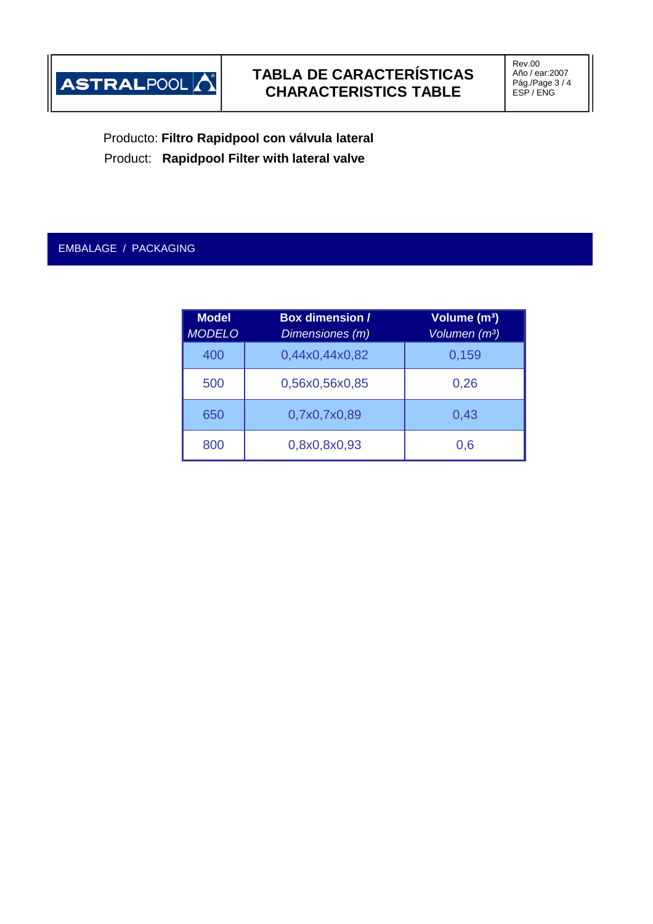

Producto: **Filtro Rapidpool con válvula lateral** Product: **Rapidpool Filter with lateral valve**

### EMBALAGE / PACKAGING

| <b>Model</b><br><b>MODELO</b> | <b>Box dimension /</b><br>Dimensiones (m) | Volume (m <sup>3</sup> )<br>Volumen (m <sup>3</sup> ) |  |  |
|-------------------------------|-------------------------------------------|-------------------------------------------------------|--|--|
| 400                           | 0,44x0,44x0,82                            | 0,159                                                 |  |  |
| 500                           | 0,56x0,56x0,85                            | 0,26                                                  |  |  |
| 650                           | 0,7x0,7x0,89                              | 0,43                                                  |  |  |
| 800                           | 0,8x0,8x0,93                              | 0,6                                                   |  |  |